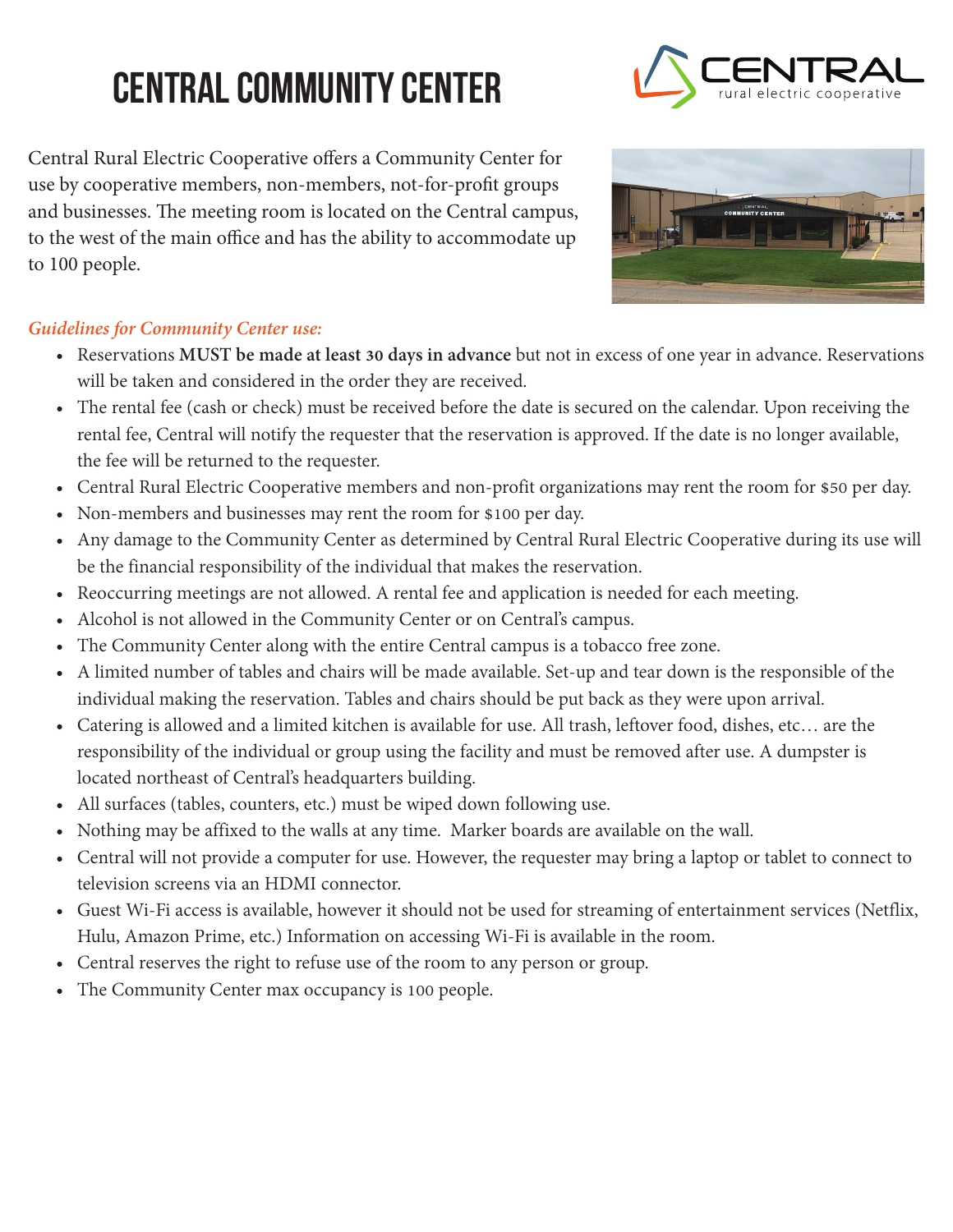## **Central Community Center**

Central Rural Electric Cooperative offers a Community Center for use by cooperative members, non-members, not-for-profit groups and businesses. The meeting room is located on the Central campus, to the west of the main office and has the ability to accommodate up to 100 people.





## *Guidelines for Community Center use:*

- Reservations **MUST be made at least 30 days in advance** but not in excess of one year in advance. Reservations will be taken and considered in the order they are received.
- The rental fee (cash or check) must be received before the date is secured on the calendar. Upon receiving the rental fee, Central will notify the requester that the reservation is approved. If the date is no longer available, the fee will be returned to the requester.
- Central Rural Electric Cooperative members and non-profit organizations may rent the room for \$50 per day.
- Non-members and businesses may rent the room for \$100 per day.
- Any damage to the Community Center as determined by Central Rural Electric Cooperative during its use will be the financial responsibility of the individual that makes the reservation.
- Reoccurring meetings are not allowed. A rental fee and application is needed for each meeting.
- Alcohol is not allowed in the Community Center or on Central's campus.
- The Community Center along with the entire Central campus is a tobacco free zone.
- A limited number of tables and chairs will be made available. Set-up and tear down is the responsible of the individual making the reservation. Tables and chairs should be put back as they were upon arrival.
- Catering is allowed and a limited kitchen is available for use. All trash, leftover food, dishes, etc… are the responsibility of the individual or group using the facility and must be removed after use. A dumpster is located northeast of Central's headquarters building.
- All surfaces (tables, counters, etc.) must be wiped down following use.
- Nothing may be affixed to the walls at any time. Marker boards are available on the wall.
- Central will not provide a computer for use. However, the requester may bring a laptop or tablet to connect to television screens via an HDMI connector.
- Guest Wi-Fi access is available, however it should not be used for streaming of entertainment services (Netflix, Hulu, Amazon Prime, etc.) Information on accessing Wi-Fi is available in the room.
- Central reserves the right to refuse use of the room to any person or group.
- The Community Center max occupancy is 100 people.